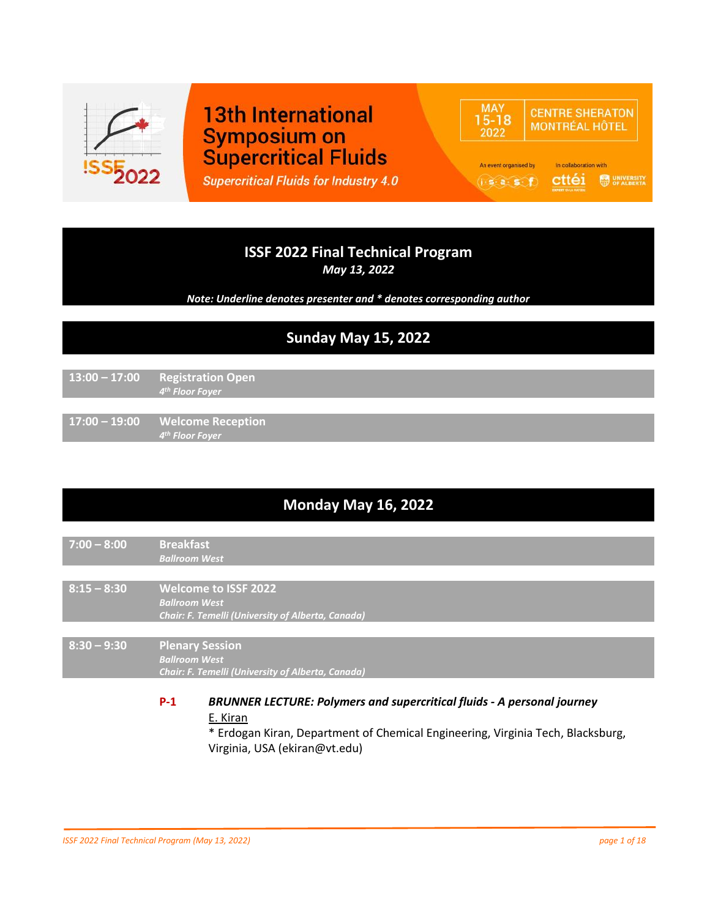

# **13th International Symposium on Supercritical Fluids**

**Supercritical Fluids for Industry 4.0** 

#### **MAY CENTRE SHERATON**  $15 - 18$ **MONTRÉAL HÔTEL** 2022 An event organised by In collaboration with Cttéi **S** SPALBERTX  $(i \cdot s \cdot a \cdot s \cdot f)$

# **ISSF 2022 Final Technical Program**

*May 13, 2022*

*Note: Underline denotes presenter and \* denotes corresponding author*

# **Sunday May 15, 2022**

**13:00 – 17:00 Registration Open** *4 th Floor Foyer*

**17:00 – 19:00 Welcome Reception** *4 th Floor Foyer*

# **Monday May 16, 2022**

- **7:00 – 8:00 Breakfast** *Ballroom West*
- **8:15 – 8:30 Welcome to ISSF 2022** *Ballroom West Chair: F. Temelli (University of Alberta, Canada)*

**8:30 – 9:30 Plenary Session** *Ballroom West Chair: F. Temelli (University of Alberta, Canada)*

#### **P-1** *BRUNNER LECTURE: Polymers and supercritical fluids - A personal journey* E. Kiran

\* Erdogan Kiran, Department of Chemical Engineering, Virginia Tech, Blacksburg, Virginia, USA (ekiran@vt.edu)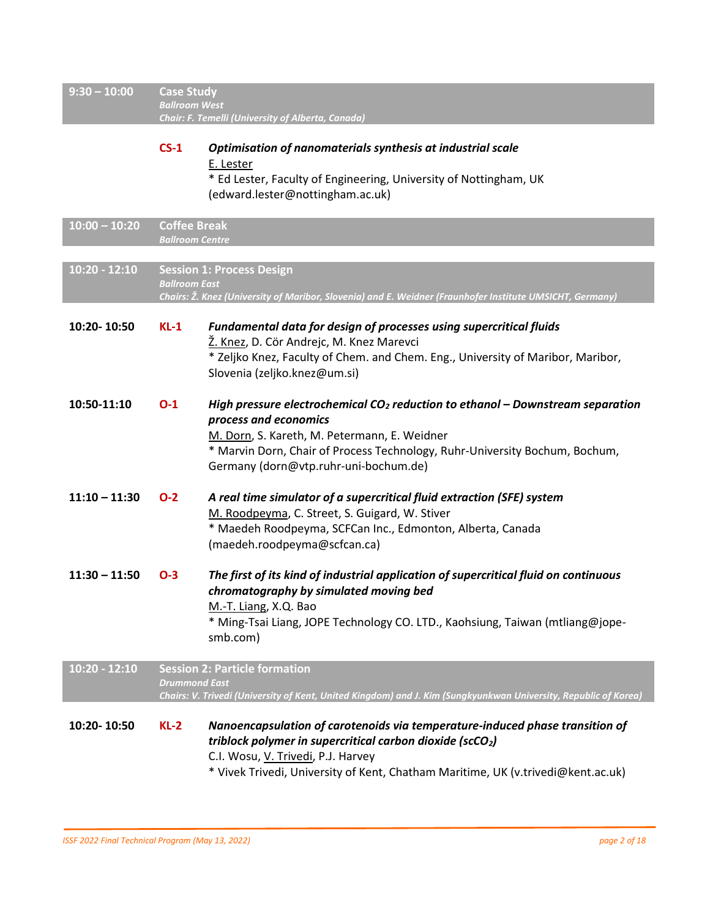| $9:30 - 10:00$             | <b>Case Study</b><br><b>Ballroom West</b><br>Chair: F. Temelli (University of Alberta, Canada) |                                                                                                                                                                                                                                                                                   |
|----------------------------|------------------------------------------------------------------------------------------------|-----------------------------------------------------------------------------------------------------------------------------------------------------------------------------------------------------------------------------------------------------------------------------------|
|                            | $CS-1$                                                                                         | Optimisation of nanomaterials synthesis at industrial scale<br>E. Lester<br>* Ed Lester, Faculty of Engineering, University of Nottingham, UK<br>(edward.lester@nottingham.ac.uk)                                                                                                 |
| $10:00 - 10:20$            | <b>Coffee Break</b><br><b>Ballroom Centre</b>                                                  |                                                                                                                                                                                                                                                                                   |
| $\overline{10:20 - 12:10}$ | <b>Ballroom East</b>                                                                           | <b>Session 1: Process Design</b><br>Chairs: Ž. Knez (University of Maribor, Slovenia) and E. Weidner (Fraunhofer Institute UMSICHT, Germany)                                                                                                                                      |
| 10:20-10:50                | $KL-1$                                                                                         | Fundamental data for design of processes using supercritical fluids<br>Ž. Knez, D. Cör Andrejc, M. Knez Marevci<br>* Zeljko Knez, Faculty of Chem. and Chem. Eng., University of Maribor, Maribor,<br>Slovenia (zeljko.knez@um.si)                                                |
| 10:50-11:10                | $O-1$                                                                                          | High pressure electrochemical $CO2$ reduction to ethanol – Downstream separation<br>process and economics<br>M. Dorn, S. Kareth, M. Petermann, E. Weidner<br>* Marvin Dorn, Chair of Process Technology, Ruhr-University Bochum, Bochum,<br>Germany (dorn@vtp.ruhr-uni-bochum.de) |
| $11:10 - 11:30$            | $O-2$                                                                                          | A real time simulator of a supercritical fluid extraction (SFE) system<br>M. Roodpeyma, C. Street, S. Guigard, W. Stiver<br>* Maedeh Roodpeyma, SCFCan Inc., Edmonton, Alberta, Canada<br>(maedeh.roodpeyma@scfcan.ca)                                                            |
| $11:30 - 11:50$            | $O-3$                                                                                          | The first of its kind of industrial application of supercritical fluid on continuous<br>chromatography by simulated moving bed<br>M.-T. Liang, X.Q. Bao<br>* Ming-Tsai Liang, JOPE Technology CO. LTD., Kaohsiung, Taiwan (mtliang@jope-<br>smb.com)                              |
| $10:20 - 12:10$            | <b>Drummond East</b>                                                                           | <b>Session 2: Particle formation</b><br>Chairs: V. Trivedi (University of Kent, United Kingdom) and J. Kim (Sungkyunkwan University, Republic of Korea)                                                                                                                           |
| 10:20-10:50                | $KL-2$                                                                                         | Nanoencapsulation of carotenoids via temperature-induced phase transition of<br>triblock polymer in supercritical carbon dioxide ( $scO2$ )<br>C.I. Wosu, V. Trivedi, P.J. Harvey<br>* Vivek Trivedi, University of Kent, Chatham Maritime, UK (v.trivedi@kent.ac.uk)             |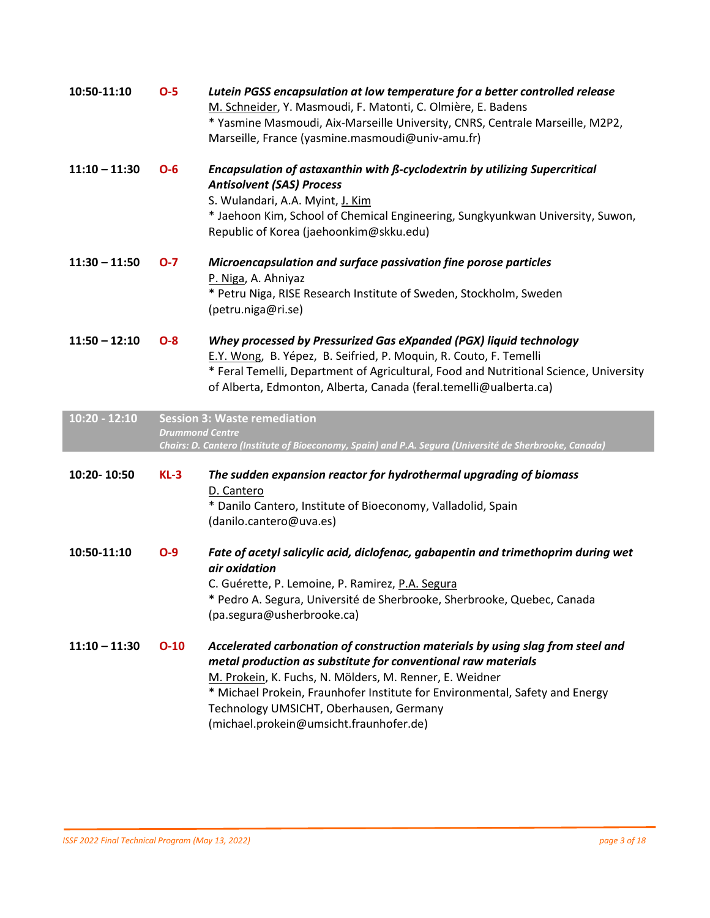| 10:50-11:10     | $O-5$                  | Lutein PGSS encapsulation at low temperature for a better controlled release<br>M. Schneider, Y. Masmoudi, F. Matonti, C. Olmière, E. Badens<br>* Yasmine Masmoudi, Aix-Marseille University, CNRS, Centrale Marseille, M2P2,<br>Marseille, France (yasmine.masmoudi@univ-amu.fr)                     |
|-----------------|------------------------|-------------------------------------------------------------------------------------------------------------------------------------------------------------------------------------------------------------------------------------------------------------------------------------------------------|
| $11:10 - 11:30$ | $O-6$                  | Encapsulation of astaxanthin with ß-cyclodextrin by utilizing Supercritical<br><b>Antisolvent (SAS) Process</b><br>S. Wulandari, A.A. Myint, J. Kim<br>* Jaehoon Kim, School of Chemical Engineering, Sungkyunkwan University, Suwon,<br>Republic of Korea (jaehoonkim@skku.edu)                      |
| $11:30 - 11:50$ | $O-7$                  | Microencapsulation and surface passivation fine porose particles<br>P. Niga, A. Ahniyaz<br>* Petru Niga, RISE Research Institute of Sweden, Stockholm, Sweden<br>(petru.niga@ri.se)                                                                                                                   |
| $11:50 - 12:10$ | $O - 8$                | Whey processed by Pressurized Gas eXpanded (PGX) liquid technology<br>E.Y. Wong, B. Yépez, B. Seifried, P. Moquin, R. Couto, F. Temelli<br>* Feral Temelli, Department of Agricultural, Food and Nutritional Science, University<br>of Alberta, Edmonton, Alberta, Canada (feral.temelli@ualberta.ca) |
|                 |                        |                                                                                                                                                                                                                                                                                                       |
| $10:20 - 12:10$ | <b>Drummond Centre</b> | <b>Session 3: Waste remediation</b><br>Chairs: D. Cantero (Institute of Bioeconomy, Spain) and P.A. Segura (Université de Sherbrooke, Canada)                                                                                                                                                         |
| 10:20-10:50     | $KL-3$                 | The sudden expansion reactor for hydrothermal upgrading of biomass<br>D. Cantero<br>* Danilo Cantero, Institute of Bioeconomy, Valladolid, Spain<br>(danilo.cantero@uva.es)                                                                                                                           |
| 10:50-11:10     | $O-9$                  | Fate of acetyl salicylic acid, diclofenac, gabapentin and trimethoprim during wet<br>air oxidation<br>C. Guérette, P. Lemoine, P. Ramirez, P.A. Segura<br>* Pedro A. Segura, Université de Sherbrooke, Sherbrooke, Quebec, Canada<br>(pa.segura@usherbrooke.ca)                                       |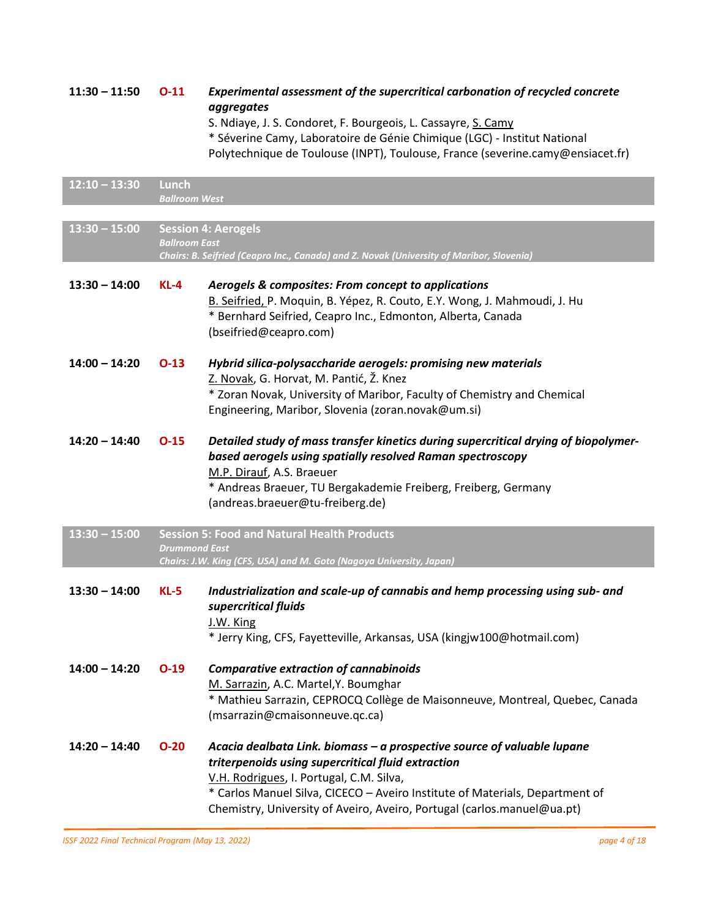| $11:30 - 11:50$ | $O-11$                        | Experimental assessment of the supercritical carbonation of recycled concrete<br>aggregates<br>S. Ndiaye, J. S. Condoret, F. Bourgeois, L. Cassayre, S. Camy<br>* Séverine Camy, Laboratoire de Génie Chimique (LGC) - Institut National<br>Polytechnique de Toulouse (INPT), Toulouse, France (severine.camy@ensiacet.fr)           |
|-----------------|-------------------------------|--------------------------------------------------------------------------------------------------------------------------------------------------------------------------------------------------------------------------------------------------------------------------------------------------------------------------------------|
| $12:10 - 13:30$ | Lunch<br><b>Ballroom West</b> |                                                                                                                                                                                                                                                                                                                                      |
| $13:30 - 15:00$ | <b>Ballroom East</b>          | <b>Session 4: Aerogels</b><br>Chairs: B. Seifried (Ceapro Inc., Canada) and Z. Novak (University of Maribor, Slovenia)                                                                                                                                                                                                               |
| $13:30 - 14:00$ | $KL-4$                        | Aerogels & composites: From concept to applications<br>B. Seifried, P. Moquin, B. Yépez, R. Couto, E.Y. Wong, J. Mahmoudi, J. Hu<br>* Bernhard Seifried, Ceapro Inc., Edmonton, Alberta, Canada<br>(bseifried@ceapro.com)                                                                                                            |
| $14:00 - 14:20$ | $O-13$                        | Hybrid silica-polysaccharide aerogels: promising new materials<br>Z. Novak, G. Horvat, M. Pantić, Ž. Knez<br>* Zoran Novak, University of Maribor, Faculty of Chemistry and Chemical<br>Engineering, Maribor, Slovenia (zoran.novak@um.si)                                                                                           |
| $14:20 - 14:40$ | $O-15$                        | Detailed study of mass transfer kinetics during supercritical drying of biopolymer-<br>based aerogels using spatially resolved Raman spectroscopy<br>M.P. Dirauf, A.S. Braeuer<br>* Andreas Braeuer, TU Bergakademie Freiberg, Freiberg, Germany<br>(andreas.braeuer@tu-freiberg.de)                                                 |
| $13:30 - 15:00$ | <b>Drummond East</b>          | <b>Session 5: Food and Natural Health Products</b><br>Chairs: J.W. King (CFS, USA) and M. Goto (Nagoya University, Japan)                                                                                                                                                                                                            |
| $13:30 - 14:00$ | $KL-5$                        | Industrialization and scale-up of cannabis and hemp processing using sub- and<br>supercritical fluids<br>J.W. King<br>* Jerry King, CFS, Fayetteville, Arkansas, USA (kingjw100@hotmail.com)                                                                                                                                         |
| $14:00 - 14:20$ | $O-19$                        | <b>Comparative extraction of cannabinoids</b><br>M. Sarrazin, A.C. Martel, Y. Boumghar<br>* Mathieu Sarrazin, CEPROCQ Collège de Maisonneuve, Montreal, Quebec, Canada<br>(msarrazin@cmaisonneuve.qc.ca)                                                                                                                             |
| $14:20 - 14:40$ | $O-20$                        | Acacia dealbata Link. biomass - a prospective source of valuable lupane<br>triterpenoids using supercritical fluid extraction<br>V.H. Rodrigues, I. Portugal, C.M. Silva,<br>* Carlos Manuel Silva, CICECO - Aveiro Institute of Materials, Department of<br>Chemistry, University of Aveiro, Aveiro, Portugal (carlos.manuel@ua.pt) |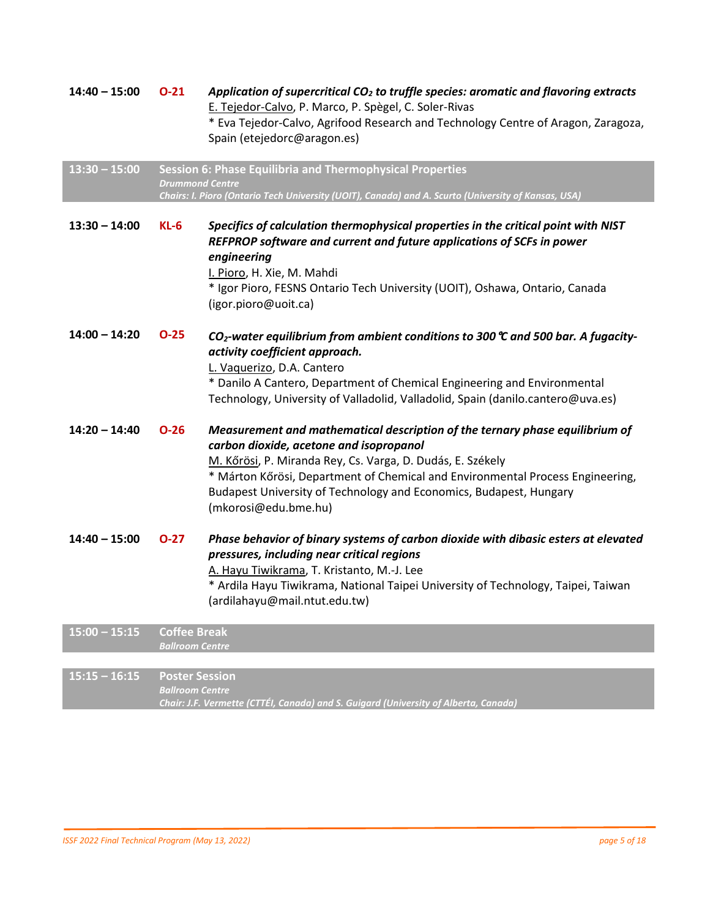| $14:40 - 15:00$ | $O-21$                                          | Application of supercritical $CO2$ to truffle species: aromatic and flavoring extracts<br>E. Tejedor-Calvo, P. Marco, P. Spègel, C. Soler-Rivas<br>* Eva Tejedor-Calvo, Agrifood Research and Technology Centre of Aragon, Zaragoza,<br>Spain (etejedorc@aragon.es)                                                                                                   |
|-----------------|-------------------------------------------------|-----------------------------------------------------------------------------------------------------------------------------------------------------------------------------------------------------------------------------------------------------------------------------------------------------------------------------------------------------------------------|
| $13:30 - 15:00$ | <b>Drummond Centre</b>                          | Session 6: Phase Equilibria and Thermophysical Properties<br>Chairs: I. Pioro (Ontario Tech University (UOIT), Canada) and A. Scurto (University of Kansas, USA)                                                                                                                                                                                                      |
| $13:30 - 14:00$ | $KL-6$                                          | Specifics of calculation thermophysical properties in the critical point with NIST<br>REFPROP software and current and future applications of SCFs in power<br>engineering<br>I. Pioro, H. Xie, M. Mahdi<br>* Igor Pioro, FESNS Ontario Tech University (UOIT), Oshawa, Ontario, Canada<br>(igor.pioro@uoit.ca)                                                       |
| $14:00 - 14:20$ | $O-25$                                          | $CO2$ -water equilibrium from ambient conditions to 300 $\degree$ and 500 bar. A fugacity-<br>activity coefficient approach.<br>L. Vaguerizo, D.A. Cantero<br>* Danilo A Cantero, Department of Chemical Engineering and Environmental<br>Technology, University of Valladolid, Valladolid, Spain (danilo.cantero@uva.es)                                             |
| $14:20 - 14:40$ | $O-26$                                          | Measurement and mathematical description of the ternary phase equilibrium of<br>carbon dioxide, acetone and isopropanol<br>M. Kőrösi, P. Miranda Rey, Cs. Varga, D. Dudás, E. Székely<br>* Márton Kőrösi, Department of Chemical and Environmental Process Engineering,<br>Budapest University of Technology and Economics, Budapest, Hungary<br>(mkorosi@edu.bme.hu) |
| $14:40 - 15:00$ | $O-27$                                          | Phase behavior of binary systems of carbon dioxide with dibasic esters at elevated<br>pressures, including near critical regions<br>A. Hayu Tiwikrama, T. Kristanto, M.-J. Lee<br>* Ardila Hayu Tiwikrama, National Taipei University of Technology, Taipei, Taiwan<br>(ardilahayu@mail.ntut.edu.tw)                                                                  |
| $15:00 - 15:15$ | <b>Coffee Break</b><br><b>Ballroom Centre</b>   |                                                                                                                                                                                                                                                                                                                                                                       |
|                 |                                                 |                                                                                                                                                                                                                                                                                                                                                                       |
| $15:15 - 16:15$ | <b>Poster Session</b><br><b>Ballroom Centre</b> | Chair: J.F. Vermette (CTTÉI, Canada) and S. Guigard (University of Alberta, Canada)                                                                                                                                                                                                                                                                                   |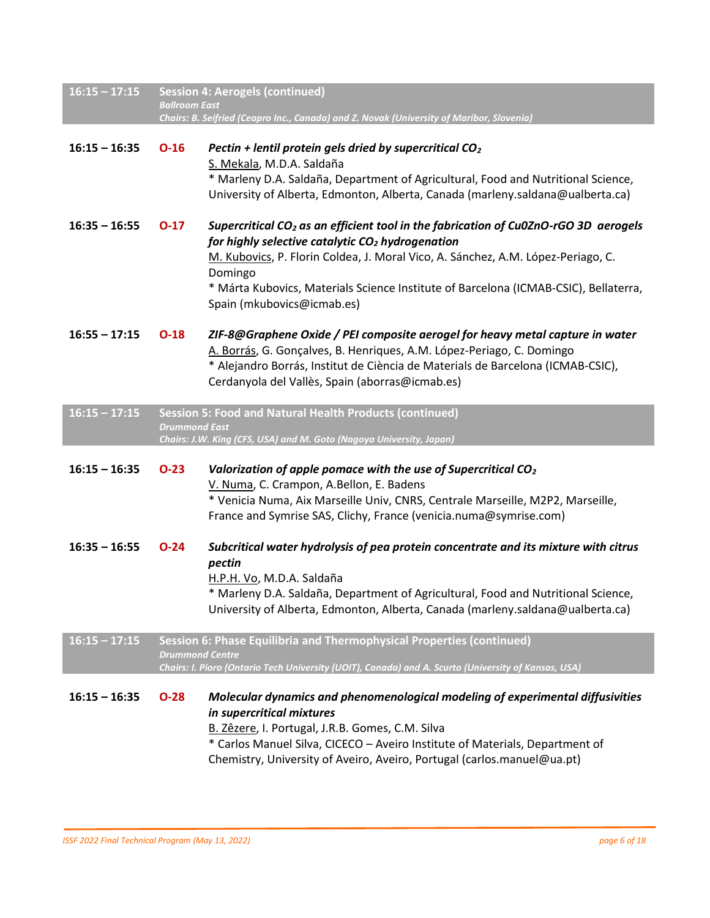| $16:15 - 17:15$ | <b>Session 4: Aerogels (continued)</b><br><b>Ballroom East</b><br>Chairs: B. Seifried (Ceapro Inc., Canada) and Z. Novak (University of Maribor, Slovenia) |                                                                                                                                                                                                                                                                                                                                                                            |
|-----------------|------------------------------------------------------------------------------------------------------------------------------------------------------------|----------------------------------------------------------------------------------------------------------------------------------------------------------------------------------------------------------------------------------------------------------------------------------------------------------------------------------------------------------------------------|
| $16:15 - 16:35$ | $O-16$                                                                                                                                                     | Pectin + lentil protein gels dried by supercritical $CO2$<br>S. Mekala, M.D.A. Saldaña<br>* Marleny D.A. Saldaña, Department of Agricultural, Food and Nutritional Science,<br>University of Alberta, Edmonton, Alberta, Canada (marleny.saldana@ualberta.ca)                                                                                                              |
| $16:35 - 16:55$ | $O-17$                                                                                                                                                     | Supercritical CO <sub>2</sub> as an efficient tool in the fabrication of Cu0ZnO-rGO 3D aerogels<br>for highly selective catalytic $CO2$ hydrogenation<br>M. Kubovics, P. Florin Coldea, J. Moral Vico, A. Sánchez, A.M. López-Periago, C.<br>Domingo<br>* Márta Kubovics, Materials Science Institute of Barcelona (ICMAB-CSIC), Bellaterra,<br>Spain (mkubovics@icmab.es) |
| $16:55 - 17:15$ | $O-18$                                                                                                                                                     | ZIF-8@Graphene Oxide / PEI composite aerogel for heavy metal capture in water<br>A. Borrás, G. Gonçalves, B. Henriques, A.M. López-Periago, C. Domingo<br>* Alejandro Borrás, Institut de Ciència de Materials de Barcelona (ICMAB-CSIC),<br>Cerdanyola del Vallès, Spain (aborras@icmab.es)                                                                               |
| $16:15 - 17:15$ | <b>Drummond East</b>                                                                                                                                       | Session 5: Food and Natural Health Products (continued)<br>Chairs: J.W. King (CFS, USA) and M. Goto (Nagoya University, Japan)                                                                                                                                                                                                                                             |
| $16:15 - 16:35$ | $O-23$                                                                                                                                                     | Valorization of apple pomace with the use of Supercritical CO <sub>2</sub><br>V. Numa, C. Crampon, A.Bellon, E. Badens<br>* Venicia Numa, Aix Marseille Univ, CNRS, Centrale Marseille, M2P2, Marseille,<br>France and Symrise SAS, Clichy, France (venicia.numa@symrise.com)                                                                                              |
| $16:35 - 16:55$ | $O-24$                                                                                                                                                     | Subcritical water hydrolysis of pea protein concentrate and its mixture with citrus<br>pectin<br>H.P.H. Vo, M.D.A. Saldaña<br>* Marleny D.A. Saldaña, Department of Agricultural, Food and Nutritional Science,<br>University of Alberta, Edmonton, Alberta, Canada (marleny.saldana@ualberta.ca)                                                                          |
| $16:15 - 17:15$ | <b>Drummond Centre</b>                                                                                                                                     | Session 6: Phase Equilibria and Thermophysical Properties (continued)<br>Chairs: I. Pioro (Ontario Tech University (UOIT), Canada) and A. Scurto (University of Kansas, USA)                                                                                                                                                                                               |
| $16:15 - 16:35$ | $O-28$                                                                                                                                                     | Molecular dynamics and phenomenological modeling of experimental diffusivities<br>in supercritical mixtures<br>B. Zêzere, I. Portugal, J.R.B. Gomes, C.M. Silva<br>* Carlos Manuel Silva, CICECO - Aveiro Institute of Materials, Department of<br>Chemistry, University of Aveiro, Aveiro, Portugal (carlos.manuel@ua.pt)                                                 |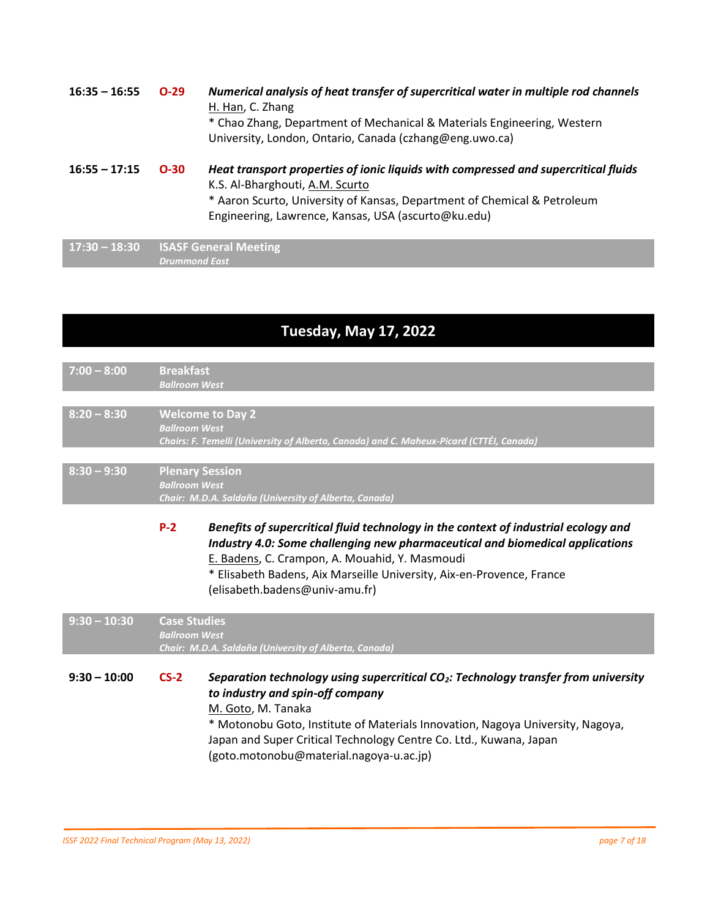**16:35 – 16:55 O-29** *Numerical analysis of heat transfer of supercritical water in multiple rod channels* H. Han, C. Zhang \* Chao Zhang, Department of Mechanical & Materials Engineering, Western University, London, Ontario, Canada (czhang@eng.uwo.ca) **16:55 – 17:15 O-30** *Heat transport properties of ionic liquids with compressed and supercritical fluids* K.S. Al-Bharghouti, A.M. Scurto

> \* Aaron Scurto, University of Kansas, Department of Chemical & Petroleum Engineering, Lawrence, Kansas, USA (ascurto@ku.edu)

**17:30 – 18:30 ISASF General Meeting** *Drummond East*

## **Tuesday, May 17, 2022**

| $7:00 - 8:00$  | <b>Breakfast</b><br><b>Ballroom West</b>       |                                                                                                                                                                                                                                                                                                                                                              |
|----------------|------------------------------------------------|--------------------------------------------------------------------------------------------------------------------------------------------------------------------------------------------------------------------------------------------------------------------------------------------------------------------------------------------------------------|
|                |                                                |                                                                                                                                                                                                                                                                                                                                                              |
| $8:20 - 8:30$  | <b>Ballroom West</b>                           | <b>Welcome to Day 2</b><br>Chairs: F. Temelli (University of Alberta, Canada) and C. Maheux-Picard (CTTÉI, Canada)                                                                                                                                                                                                                                           |
| $8:30 - 9:30$  | <b>Plenary Session</b><br><b>Ballroom West</b> | Chair: M.D.A. Saldaña (University of Alberta, Canada)                                                                                                                                                                                                                                                                                                        |
|                | $P-2$                                          | Benefits of supercritical fluid technology in the context of industrial ecology and<br>Industry 4.0: Some challenging new pharmaceutical and biomedical applications<br>E. Badens, C. Crampon, A. Mouahid, Y. Masmoudi<br>* Elisabeth Badens, Aix Marseille University, Aix-en-Provence, France<br>(elisabeth.badens@univ-amu.fr)                            |
| $9:30 - 10:30$ | <b>Case Studies</b><br><b>Ballroom West</b>    | Chair: M.D.A. Saldaña (University of Alberta, Canada)                                                                                                                                                                                                                                                                                                        |
| $9:30 - 10:00$ | $CS-2$                                         | Separation technology using supercritical CO <sub>2</sub> : Technology transfer from university<br>to industry and spin-off company<br>M. Goto, M. Tanaka<br>* Motonobu Goto, Institute of Materials Innovation, Nagoya University, Nagoya,<br>Japan and Super Critical Technology Centre Co. Ltd., Kuwana, Japan<br>(goto.motonobu@material.nagoya-u.ac.jp) |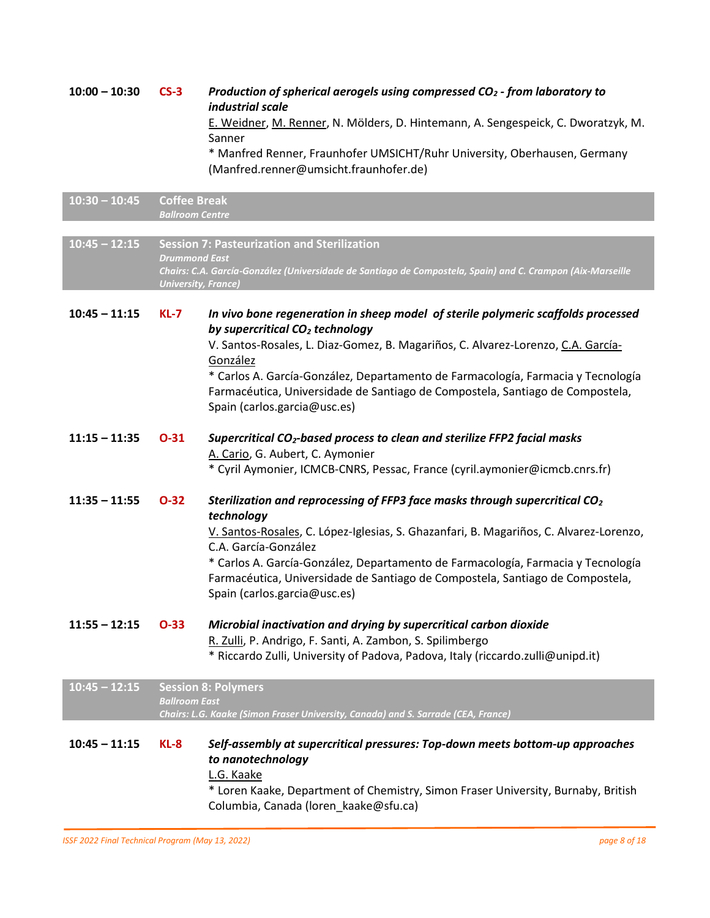**10:00 – 10:30 CS-3** *Production of spherical aerogels using compressed CO<sup>2</sup> - from laboratory to industrial scale* E. Weidner, M. Renner, N. Mölders, D. Hintemann, A. Sengespeick, C. Dworatzyk, M. Sanner \* Manfred Renner, Fraunhofer UMSICHT/Ruhr University, Oberhausen, Germany

(Manfred.renner@umsicht.fraunhofer.de)

| $10:30 - 10:45$ | <b>Coffee Break</b><br><b>Ballroom Centre</b>      |                                                                                                                                                                                                                                                                                                                                                                                                                                       |
|-----------------|----------------------------------------------------|---------------------------------------------------------------------------------------------------------------------------------------------------------------------------------------------------------------------------------------------------------------------------------------------------------------------------------------------------------------------------------------------------------------------------------------|
|                 |                                                    |                                                                                                                                                                                                                                                                                                                                                                                                                                       |
| $10:45 - 12:15$ | <b>Drummond East</b><br><b>University, France)</b> | <b>Session 7: Pasteurization and Sterilization</b><br>Chairs: C.A. García-González (Universidade de Santiago de Compostela, Spain) and C. Crampon (Aix-Marseille                                                                                                                                                                                                                                                                      |
| $10:45 - 11:15$ | <b>KL-7</b>                                        | In vivo bone regeneration in sheep model of sterile polymeric scaffolds processed<br>by supercritical CO <sub>2</sub> technology<br>V. Santos-Rosales, L. Diaz-Gomez, B. Magariños, C. Alvarez-Lorenzo, C.A. García-<br>González<br>* Carlos A. García-González, Departamento de Farmacología, Farmacia y Tecnología<br>Farmacéutica, Universidade de Santiago de Compostela, Santiago de Compostela,<br>Spain (carlos.garcia@usc.es) |
| $11:15 - 11:35$ | $O-31$                                             | Supercritical CO <sub>2</sub> -based process to clean and sterilize FFP2 facial masks<br>A. Cario, G. Aubert, C. Aymonier<br>* Cyril Aymonier, ICMCB-CNRS, Pessac, France (cyril.aymonier@icmcb.cnrs.fr)                                                                                                                                                                                                                              |
| $11:35 - 11:55$ | $O-32$                                             | Sterilization and reprocessing of FFP3 face masks through supercritical CO <sub>2</sub><br>technology<br>V. Santos-Rosales, C. López-Iglesias, S. Ghazanfari, B. Magariños, C. Alvarez-Lorenzo,<br>C.A. García-González<br>* Carlos A. García-González, Departamento de Farmacología, Farmacia y Tecnología<br>Farmacéutica, Universidade de Santiago de Compostela, Santiago de Compostela,<br>Spain (carlos.garcia@usc.es)          |
| $11:55 - 12:15$ | $O-33$                                             | Microbial inactivation and drying by supercritical carbon dioxide<br>R. Zulli, P. Andrigo, F. Santi, A. Zambon, S. Spilimbergo<br>* Riccardo Zulli, University of Padova, Padova, Italy (riccardo.zulli@unipd.it)                                                                                                                                                                                                                     |
| $10:45 - 12:15$ | <b>Ballroom East</b>                               | <b>Session 8: Polymers</b><br>Chairs: L.G. Kaake (Simon Fraser University, Canada) and S. Sarrade (CEA, France)                                                                                                                                                                                                                                                                                                                       |
| $10:45 - 11:15$ | $KL-8$                                             | Self-assembly at supercritical pressures: Top-down meets bottom-up approaches<br>to nanotechnology<br>L.G. Kaake<br>* Loren Kaake, Department of Chemistry, Simon Fraser University, Burnaby, British<br>Columbia, Canada (loren_kaake@sfu.ca)                                                                                                                                                                                        |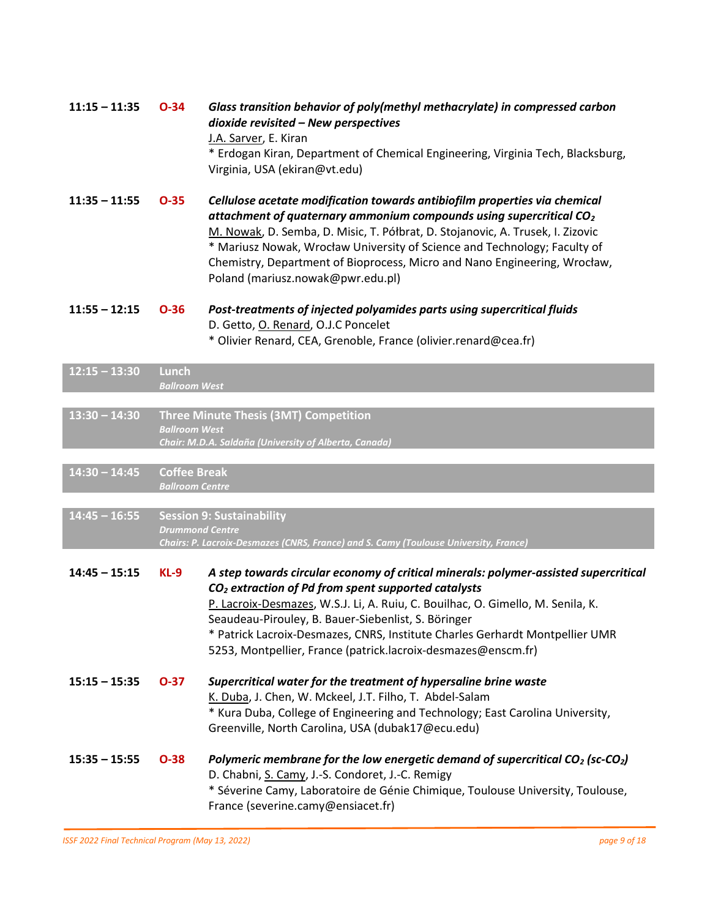|                 |                                               | dioxide revisited - New perspectives<br>J.A. Sarver, E. Kiran<br>* Erdogan Kiran, Department of Chemical Engineering, Virginia Tech, Blacksburg,<br>Virginia, USA (ekiran@vt.edu)                                                                                                                                                                                                                                                                  |
|-----------------|-----------------------------------------------|----------------------------------------------------------------------------------------------------------------------------------------------------------------------------------------------------------------------------------------------------------------------------------------------------------------------------------------------------------------------------------------------------------------------------------------------------|
| $11:35 - 11:55$ | $O-35$                                        | Cellulose acetate modification towards antibiofilm properties via chemical<br>attachment of quaternary ammonium compounds using supercritical $CO2$<br>M. Nowak, D. Semba, D. Misic, T. Półbrat, D. Stojanovic, A. Trusek, I. Zizovic<br>* Mariusz Nowak, Wrocław University of Science and Technology; Faculty of<br>Chemistry, Department of Bioprocess, Micro and Nano Engineering, Wrocław,<br>Poland (mariusz.nowak@pwr.edu.pl)               |
| $11:55 - 12:15$ | $O-36$                                        | Post-treatments of injected polyamides parts using supercritical fluids<br>D. Getto, O. Renard, O.J.C Poncelet<br>* Olivier Renard, CEA, Grenoble, France (olivier.renard@cea.fr)                                                                                                                                                                                                                                                                  |
| $12:15 - 13:30$ | <b>Lunch</b><br><b>Ballroom West</b>          |                                                                                                                                                                                                                                                                                                                                                                                                                                                    |
| $13:30 - 14:30$ | <b>Ballroom West</b>                          | <b>Three Minute Thesis (3MT) Competition</b><br>Chair: M.D.A. Saldaña (University of Alberta, Canada)                                                                                                                                                                                                                                                                                                                                              |
| $14:30 - 14:45$ | <b>Coffee Break</b><br><b>Ballroom Centre</b> |                                                                                                                                                                                                                                                                                                                                                                                                                                                    |
| $14:45 - 16:55$ |                                               | <b>Session 9: Sustainability</b><br><b>Drummond Centre</b><br>Chairs: P. Lacroix-Desmazes (CNRS, France) and S. Camy (Toulouse University, France)                                                                                                                                                                                                                                                                                                 |
| $14:45 - 15:15$ | $KL-9$                                        | A step towards circular economy of critical minerals: polymer-assisted supercritical<br>CO <sub>2</sub> extraction of Pd from spent supported catalysts<br>P. Lacroix-Desmazes, W.S.J. Li, A. Ruiu, C. Bouilhac, O. Gimello, M. Senila, K.<br>Seaudeau-Pirouley, B. Bauer-Siebenlist, S. Böringer<br>* Patrick Lacroix-Desmazes, CNRS, Institute Charles Gerhardt Montpellier UMR<br>5253, Montpellier, France (patrick.lacroix-desmazes@enscm.fr) |
| $15:15 - 15:35$ | $O-37$                                        | Supercritical water for the treatment of hypersaline brine waste<br>K. Duba, J. Chen, W. Mckeel, J.T. Filho, T. Abdel-Salam<br>* Kura Duba, College of Engineering and Technology; East Carolina University,<br>Greenville, North Carolina, USA (dubak17@ecu.edu)                                                                                                                                                                                  |
| $15:35 - 15:55$ | $O-38$                                        | Polymeric membrane for the low energetic demand of supercritical $CO2$ (sc-CO <sub>2</sub> )<br>D. Chabni, S. Camy, J.-S. Condoret, J.-C. Remigy<br>* Séverine Camy, Laboratoire de Génie Chimique, Toulouse University, Toulouse,<br>France (severine.camy@ensiacet.fr)                                                                                                                                                                           |

**11:15 – 11:35 O-34** *Glass transition behavior of poly(methyl methacrylate) in compressed carbon*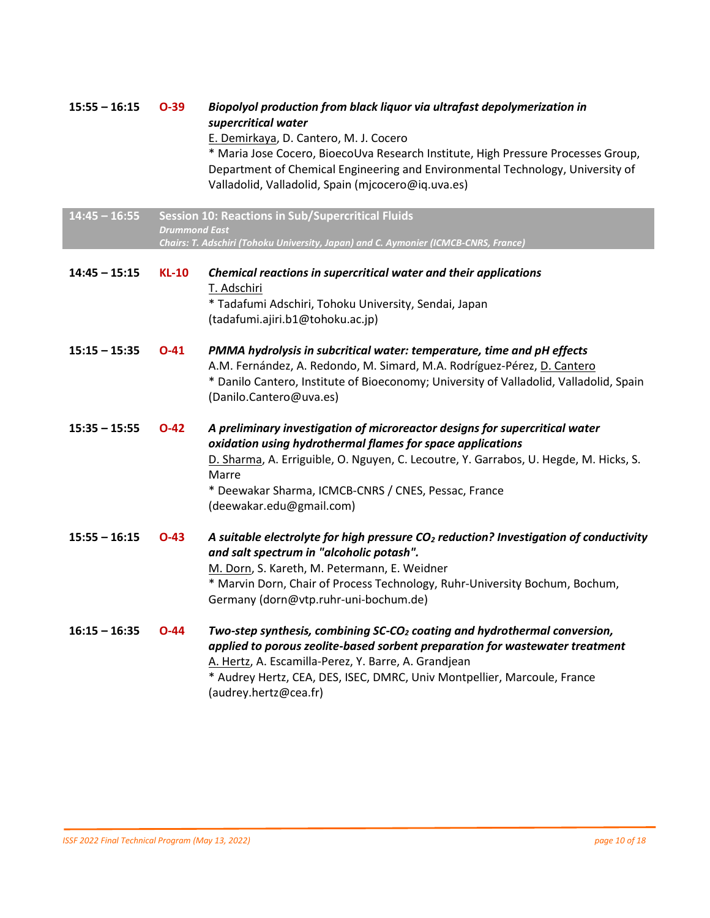| $15:55 - 16:15$ | $O-39$               | Biopolyol production from black liquor via ultrafast depolymerization in<br>supercritical water<br>E. Demirkaya, D. Cantero, M. J. Cocero<br>* Maria Jose Cocero, BioecoUva Research Institute, High Pressure Processes Group,<br>Department of Chemical Engineering and Environmental Technology, University of<br>Valladolid, Valladolid, Spain (mjcocero@iq.uva.es) |
|-----------------|----------------------|------------------------------------------------------------------------------------------------------------------------------------------------------------------------------------------------------------------------------------------------------------------------------------------------------------------------------------------------------------------------|
| $14:45 - 16:55$ | <b>Drummond East</b> | <b>Session 10: Reactions in Sub/Supercritical Fluids</b><br>Chairs: T. Adschiri (Tohoku University, Japan) and C. Aymonier (ICMCB-CNRS, France)                                                                                                                                                                                                                        |
| $14:45 - 15:15$ | <b>KL-10</b>         | Chemical reactions in supercritical water and their applications<br>T. Adschiri<br>* Tadafumi Adschiri, Tohoku University, Sendai, Japan<br>(tadafumi.ajiri.b1@tohoku.ac.jp)                                                                                                                                                                                           |
| $15:15 - 15:35$ | $O-41$               | PMMA hydrolysis in subcritical water: temperature, time and pH effects<br>A.M. Fernández, A. Redondo, M. Simard, M.A. Rodríguez-Pérez, D. Cantero<br>* Danilo Cantero, Institute of Bioeconomy; University of Valladolid, Valladolid, Spain<br>(Danilo.Cantero@uva.es)                                                                                                 |
| $15:35 - 15:55$ | $O-42$               | A preliminary investigation of microreactor designs for supercritical water<br>oxidation using hydrothermal flames for space applications<br>D. Sharma, A. Erriguible, O. Nguyen, C. Lecoutre, Y. Garrabos, U. Hegde, M. Hicks, S.<br>Marre<br>* Deewakar Sharma, ICMCB-CNRS / CNES, Pessac, France<br>(deewakar.edu@gmail.com)                                        |
| $15:55 - 16:15$ | $O-43$               | A suitable electrolyte for high pressure CO <sub>2</sub> reduction? Investigation of conductivity<br>and salt spectrum in "alcoholic potash".<br>M. Dorn, S. Kareth, M. Petermann, E. Weidner<br>* Marvin Dorn, Chair of Process Technology, Ruhr-University Bochum, Bochum,<br>Germany (dorn@vtp.ruhr-uni-bochum.de)                                                  |
| $16:15 - 16:35$ | $O-44$               | Two-step synthesis, combining SC-CO <sub>2</sub> coating and hydrothermal conversion,<br>applied to porous zeolite-based sorbent preparation for wastewater treatment<br>A. Hertz, A. Escamilla-Perez, Y. Barre, A. Grandjean<br>* Audrey Hertz, CEA, DES, ISEC, DMRC, Univ Montpellier, Marcoule, France<br>(audrey.hertz@cea.fr)                                     |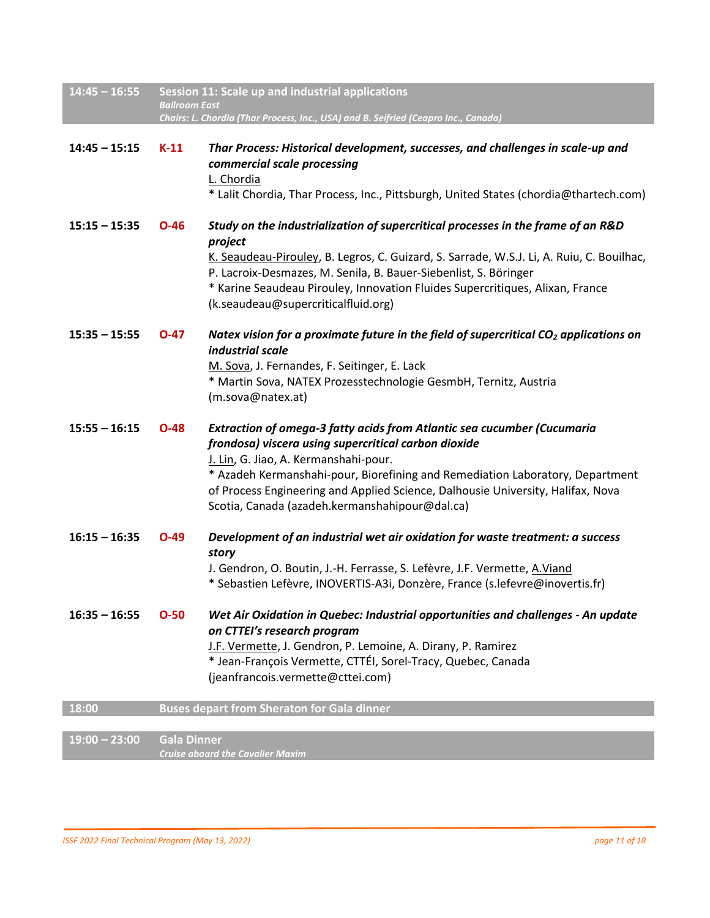| $14:45 - 16:55$ |                      | Session 11: Scale up and industrial applications                                                                                                                                                                                                                                                                                                                                               |
|-----------------|----------------------|------------------------------------------------------------------------------------------------------------------------------------------------------------------------------------------------------------------------------------------------------------------------------------------------------------------------------------------------------------------------------------------------|
|                 | <b>Ballroom East</b> | Chairs: L. Chordia (Thar Process, Inc., USA) and B. Seifried (Ceapro Inc., Canada)                                                                                                                                                                                                                                                                                                             |
| $14:45 - 15:15$ | $K-11$               | Thar Process: Historical development, successes, and challenges in scale-up and<br>commercial scale processing<br>L. Chordia<br>* Lalit Chordia, Thar Process, Inc., Pittsburgh, United States (chordia@thartech.com)                                                                                                                                                                          |
| $15:15 - 15:35$ | $O-46$               | Study on the industrialization of supercritical processes in the frame of an R&D<br>project<br>K. Seaudeau-Pirouley, B. Legros, C. Guizard, S. Sarrade, W.S.J. Li, A. Ruiu, C. Bouilhac,<br>P. Lacroix-Desmazes, M. Senila, B. Bauer-Siebenlist, S. Böringer<br>* Karine Seaudeau Pirouley, Innovation Fluides Supercritiques, Alixan, France<br>(k.seaudeau@supercriticalfluid.org)           |
| $15:35 - 15:55$ | $O-47$               | Natex vision for a proximate future in the field of supercritical $CO2$ applications on<br>industrial scale<br>M. Sova, J. Fernandes, F. Seitinger, E. Lack<br>* Martin Sova, NATEX Prozesstechnologie GesmbH, Ternitz, Austria<br>(m.sova@natex.at)                                                                                                                                           |
| $15:55 - 16:15$ | $O-48$               | Extraction of omega-3 fatty acids from Atlantic sea cucumber (Cucumaria<br>frondosa) viscera using supercritical carbon dioxide<br>J. Lin, G. Jiao, A. Kermanshahi-pour.<br>* Azadeh Kermanshahi-pour, Biorefining and Remediation Laboratory, Department<br>of Process Engineering and Applied Science, Dalhousie University, Halifax, Nova<br>Scotia, Canada (azadeh.kermanshahipour@dal.ca) |
| $16:15 - 16:35$ | $O-49$               | Development of an industrial wet air oxidation for waste treatment: a success<br>story<br>J. Gendron, O. Boutin, J.-H. Ferrasse, S. Lefèvre, J.F. Vermette, A.Viand<br>* Sebastien Lefèvre, INOVERTIS-A3i, Donzère, France (s.lefevre@inovertis.fr)                                                                                                                                            |
| $16:35 - 16:55$ | $O-50$               | Wet Air Oxidation in Quebec: Industrial opportunities and challenges - An update<br>on CTTEI's research program<br>J.F. Vermette, J. Gendron, P. Lemoine, A. Dirany, P. Ramirez<br>* Jean-François Vermette, CTTÉI, Sorel-Tracy, Quebec, Canada<br>(jeanfrancois.vermette@cttei.com)                                                                                                           |
| 18:00           |                      | <b>Buses depart from Sheraton for Gala dinner</b>                                                                                                                                                                                                                                                                                                                                              |
| $19:00 - 23:00$ | <b>Gala Dinner</b>   |                                                                                                                                                                                                                                                                                                                                                                                                |

*Cruise aboard the Cavalier Maxim*

I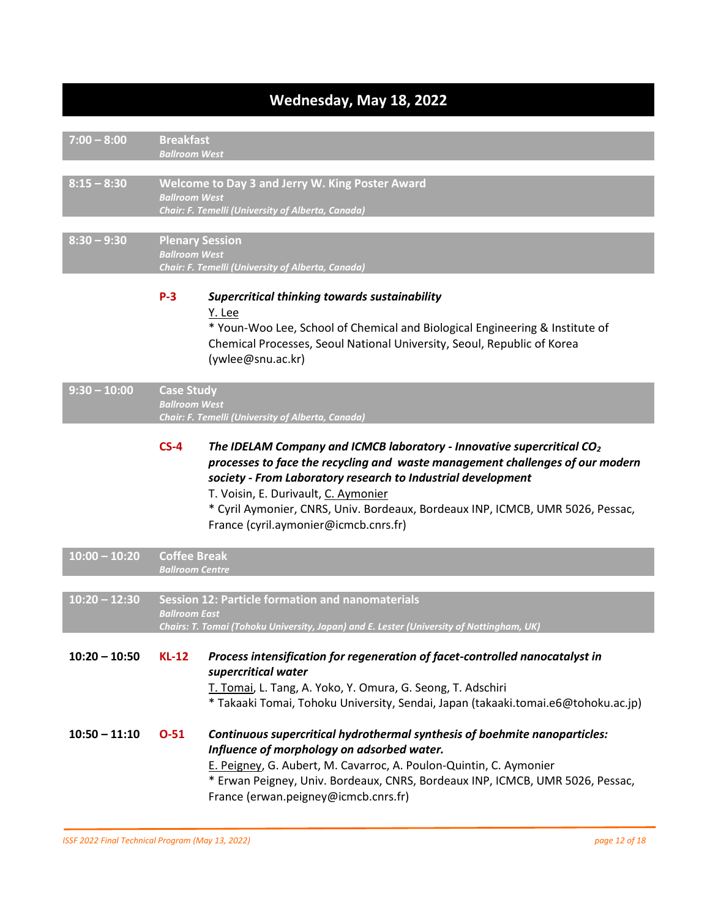# **Wednesday, May 18, 2022**

| $7:00 - 8:00$   | <b>Breakfast</b><br><b>Ballroom West</b>       |                                                                                                                                                                                                                                                                                                                                                                                              |
|-----------------|------------------------------------------------|----------------------------------------------------------------------------------------------------------------------------------------------------------------------------------------------------------------------------------------------------------------------------------------------------------------------------------------------------------------------------------------------|
|                 |                                                |                                                                                                                                                                                                                                                                                                                                                                                              |
| $8:15 - 8:30$   | <b>Ballroom West</b>                           | Welcome to Day 3 and Jerry W. King Poster Award<br>Chair: F. Temelli (University of Alberta, Canada)                                                                                                                                                                                                                                                                                         |
|                 |                                                |                                                                                                                                                                                                                                                                                                                                                                                              |
| $8:30 - 9:30$   | <b>Plenary Session</b><br><b>Ballroom West</b> | Chair: F. Temelli (University of Alberta, Canada)                                                                                                                                                                                                                                                                                                                                            |
|                 | $P-3$                                          | Supercritical thinking towards sustainability<br>Y. Lee<br>* Youn-Woo Lee, School of Chemical and Biological Engineering & Institute of<br>Chemical Processes, Seoul National University, Seoul, Republic of Korea<br>(ywlee@snu.ac.kr)                                                                                                                                                      |
| $9:30 - 10:00$  | <b>Case Study</b><br><b>Ballroom West</b>      | Chair: F. Temelli (University of Alberta, Canada)                                                                                                                                                                                                                                                                                                                                            |
|                 |                                                |                                                                                                                                                                                                                                                                                                                                                                                              |
|                 | $CS-4$                                         | The IDELAM Company and ICMCB laboratory - Innovative supercritical $CO2$<br>processes to face the recycling and waste management challenges of our modern<br>society - From Laboratory research to Industrial development<br>T. Voisin, E. Durivault, C. Aymonier<br>* Cyril Aymonier, CNRS, Univ. Bordeaux, Bordeaux INP, ICMCB, UMR 5026, Pessac,<br>France (cyril.aymonier@icmcb.cnrs.fr) |
| $10:00 - 10:20$ | <b>Coffee Break</b><br><b>Ballroom Centre</b>  |                                                                                                                                                                                                                                                                                                                                                                                              |
|                 |                                                |                                                                                                                                                                                                                                                                                                                                                                                              |
| $10:20 - 12:30$ | <b>Ballroom East</b>                           | <b>Session 12: Particle formation and nanomaterials</b><br>Chairs: T. Tomai (Tohoku University, Japan) and E. Lester (University of Nottingham, UK)                                                                                                                                                                                                                                          |
|                 |                                                |                                                                                                                                                                                                                                                                                                                                                                                              |
| $10:20 - 10:50$ | $KL-12$                                        | Process intensification for regeneration of facet-controlled nanocatalyst in<br>supercritical water<br>T. Tomai, L. Tang, A. Yoko, Y. Omura, G. Seong, T. Adschiri<br>* Takaaki Tomai, Tohoku University, Sendai, Japan (takaaki.tomai.e6@tohoku.ac.jp)                                                                                                                                      |
| $10:50 - 11:10$ | $O-51$                                         | Continuous supercritical hydrothermal synthesis of boehmite nanoparticles:<br>Influence of morphology on adsorbed water.<br>E. Peigney, G. Aubert, M. Cavarroc, A. Poulon-Quintin, C. Aymonier<br>* Erwan Peigney, Univ. Bordeaux, CNRS, Bordeaux INP, ICMCB, UMR 5026, Pessac,<br>France (erwan.peigney@icmcb.cnrs.fr)                                                                      |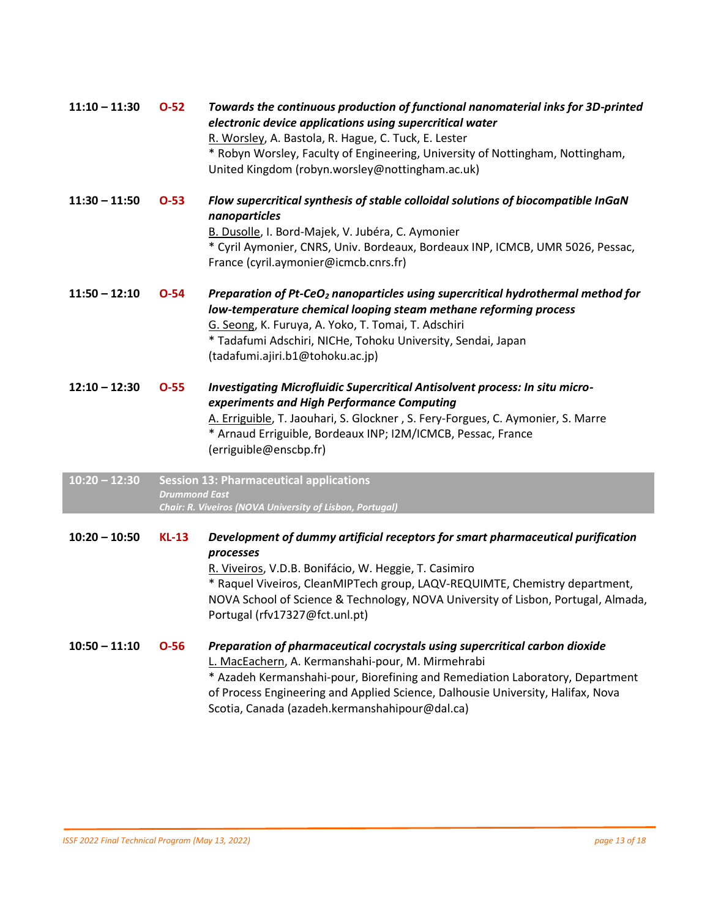| $11:10 - 11:30$ | $O-52$               | Towards the continuous production of functional nanomaterial inks for 3D-printed<br>electronic device applications using supercritical water<br>R. Worsley, A. Bastola, R. Hague, C. Tuck, E. Lester<br>* Robyn Worsley, Faculty of Engineering, University of Nottingham, Nottingham,<br>United Kingdom (robyn.worsley@nottingham.ac.uk)                   |
|-----------------|----------------------|-------------------------------------------------------------------------------------------------------------------------------------------------------------------------------------------------------------------------------------------------------------------------------------------------------------------------------------------------------------|
| $11:30 - 11:50$ | $O-53$               | Flow supercritical synthesis of stable colloidal solutions of biocompatible InGaN<br>nanoparticles<br>B. Dusolle, I. Bord-Majek, V. Jubéra, C. Aymonier<br>* Cyril Aymonier, CNRS, Univ. Bordeaux, Bordeaux INP, ICMCB, UMR 5026, Pessac,<br>France (cyril.aymonier@icmcb.cnrs.fr)                                                                          |
| $11:50 - 12:10$ | $O-54$               | Preparation of Pt-CeO <sub>2</sub> nanoparticles using supercritical hydrothermal method for<br>low-temperature chemical looping steam methane reforming process<br>G. Seong, K. Furuya, A. Yoko, T. Tomai, T. Adschiri<br>* Tadafumi Adschiri, NICHe, Tohoku University, Sendai, Japan<br>(tadafumi.ajiri.b1@tohoku.ac.jp)                                 |
| $12:10 - 12:30$ | $O-55$               | Investigating Microfluidic Supercritical Antisolvent process: In situ micro-<br>experiments and High Performance Computing<br>A. Erriguible, T. Jaouhari, S. Glockner, S. Fery-Forgues, C. Aymonier, S. Marre<br>* Arnaud Erriguible, Bordeaux INP; I2M/ICMCB, Pessac, France<br>(erriguible@enscbp.fr)                                                     |
| $10:20 - 12:30$ | <b>Drummond East</b> | <b>Session 13: Pharmaceutical applications</b><br>Chair: R. Viveiros (NOVA University of Lisbon, Portugal)                                                                                                                                                                                                                                                  |
| $10:20 - 10:50$ | $KL-13$              | Development of dummy artificial receptors for smart pharmaceutical purification<br>processes<br>R. Viveiros, V.D.B. Bonifácio, W. Heggie, T. Casimiro<br>* Raquel Viveiros, CleanMIPTech group, LAQV-REQUIMTE, Chemistry department,<br>NOVA School of Science & Technology, NOVA University of Lisbon, Portugal, Almada,<br>Portugal (rfv17327@fct.unl.pt) |
| $10:50 - 11:10$ | $O-56$               | Preparation of pharmaceutical cocrystals using supercritical carbon dioxide<br>L. MacEachern, A. Kermanshahi-pour, M. Mirmehrabi<br>* Azadeh Kermanshahi-pour, Biorefining and Remediation Laboratory, Department<br>of Process Engineering and Applied Science, Dalhousie University, Halifax, Nova<br>Scotia, Canada (azadeh.kermanshahipour@dal.ca)      |

I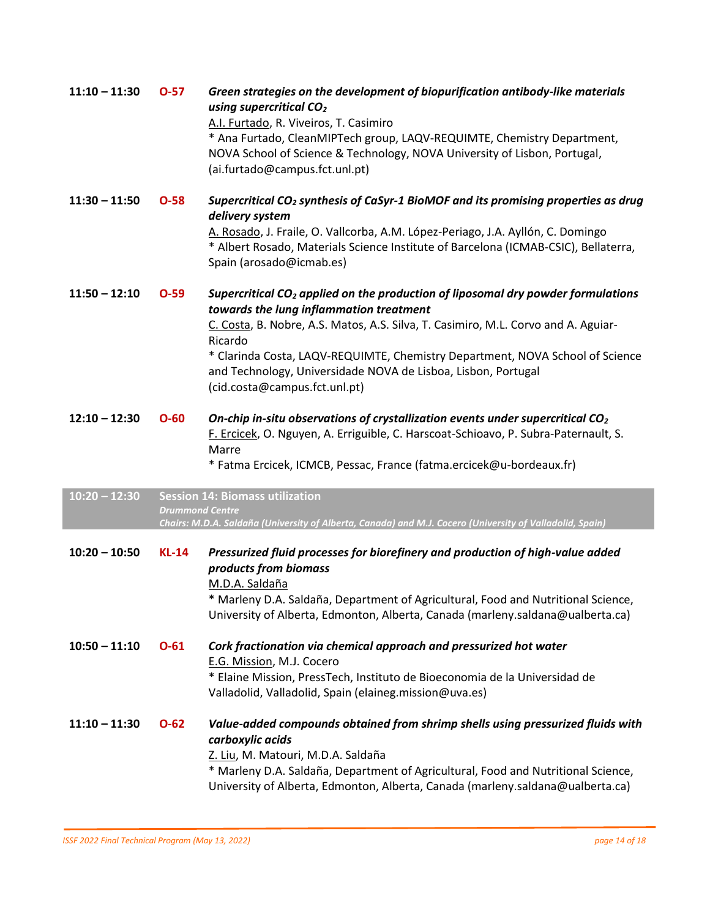| $11:10 - 11:30$ | $O-57$                 | Green strategies on the development of biopurification antibody-like materials<br>using supercritical CO <sub>2</sub><br>A.I. Furtado, R. Viveiros, T. Casimiro<br>* Ana Furtado, CleanMIPTech group, LAQV-REQUIMTE, Chemistry Department,<br>NOVA School of Science & Technology, NOVA University of Lisbon, Portugal,<br>(ai.furtado@campus.fct.unl.pt)                                                                   |
|-----------------|------------------------|-----------------------------------------------------------------------------------------------------------------------------------------------------------------------------------------------------------------------------------------------------------------------------------------------------------------------------------------------------------------------------------------------------------------------------|
| $11:30 - 11:50$ | $O-58$                 | Supercritical CO <sub>2</sub> synthesis of CaSyr-1 BioMOF and its promising properties as drug<br>delivery system<br>A. Rosado, J. Fraile, O. Vallcorba, A.M. López-Periago, J.A. Ayllón, C. Domingo<br>* Albert Rosado, Materials Science Institute of Barcelona (ICMAB-CSIC), Bellaterra,<br>Spain (arosado@icmab.es)                                                                                                     |
| $11:50 - 12:10$ | $O-59$                 | Supercritical CO <sub>2</sub> applied on the production of liposomal dry powder formulations<br>towards the lung inflammation treatment<br>C. Costa, B. Nobre, A.S. Matos, A.S. Silva, T. Casimiro, M.L. Corvo and A. Aguiar-<br>Ricardo<br>* Clarinda Costa, LAQV-REQUIMTE, Chemistry Department, NOVA School of Science<br>and Technology, Universidade NOVA de Lisboa, Lisbon, Portugal<br>(cid.costa@campus.fct.unl.pt) |
| $12:10 - 12:30$ | $O-60$                 | On-chip in-situ observations of crystallization events under supercritical $CO2$<br>F. Ercicek, O. Nguyen, A. Erriguible, C. Harscoat-Schioavo, P. Subra-Paternault, S.<br>Marre<br>* Fatma Ercicek, ICMCB, Pessac, France (fatma.ercicek@u-bordeaux.fr)                                                                                                                                                                    |
| $10:20 - 12:30$ | <b>Drummond Centre</b> | <b>Session 14: Biomass utilization</b><br>Chairs: M.D.A. Saldaña (University of Alberta, Canada) and M.J. Cocero (University of Valladolid, Spain)                                                                                                                                                                                                                                                                          |
| $10:20 - 10:50$ | $KL-14$                | Pressurized fluid processes for biorefinery and production of high-value added<br>products from biomass<br>M.D.A. Saldaña<br>* Marleny D.A. Saldaña, Department of Agricultural, Food and Nutritional Science<br>University of Alberta, Edmonton, Alberta, Canada (marleny.saldana@ualberta.ca)                                                                                                                             |
| $10:50 - 11:10$ | $O-61$                 | Cork fractionation via chemical approach and pressurized hot water<br>E.G. Mission, M.J. Cocero<br>* Elaine Mission, PressTech, Instituto de Bioeconomia de la Universidad de<br>Valladolid, Valladolid, Spain (elaineg.mission@uva.es)                                                                                                                                                                                     |
| $11:10 - 11:30$ | $O-62$                 | Value-added compounds obtained from shrimp shells using pressurized fluids with<br>carboxylic acids<br>Z. Liu, M. Matouri, M.D.A. Saldaña<br>* Marleny D.A. Saldaña, Department of Agricultural, Food and Nutritional Science,<br>University of Alberta, Edmonton, Alberta, Canada (marleny.saldana@ualberta.ca)                                                                                                            |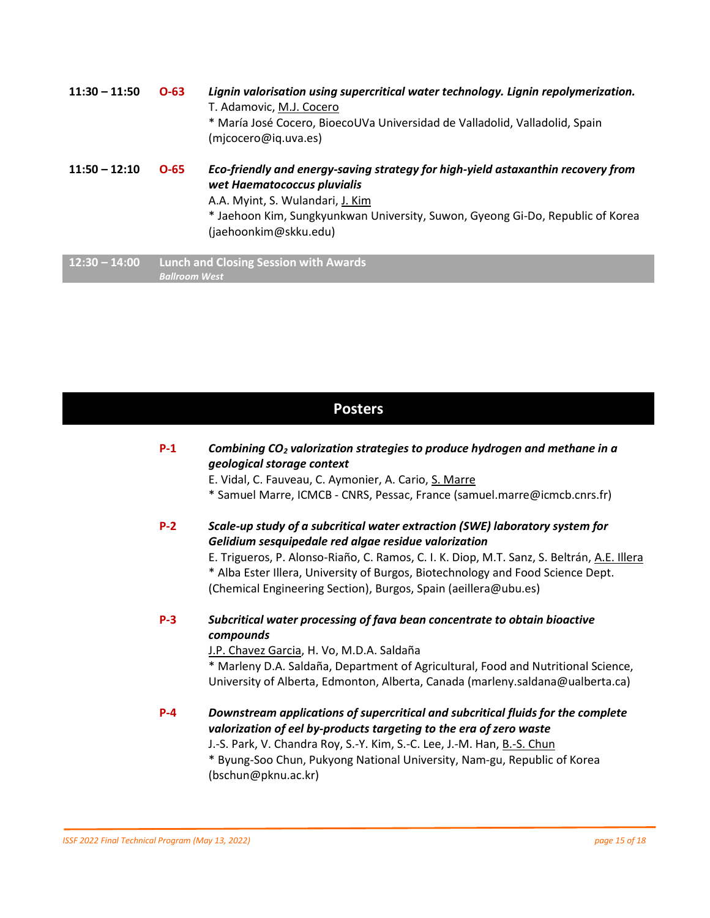**11:30 – 11:50 O-63** *Lignin valorisation using supercritical water technology. Lignin repolymerization.* T. Adamovic, M.J. Cocero \* María José Cocero, BioecoUVa Universidad de Valladolid, Valladolid, Spain (mjcocero@iq.uva.es) **11:50 – 12:10 O-65** *Eco-friendly and energy-saving strategy for high-yield astaxanthin recovery from wet Haematococcus pluvialis*

A.A. Myint, S. Wulandari, J. Kim \* Jaehoon Kim, Sungkyunkwan University, Suwon, Gyeong Gi-Do, Republic of Korea (jaehoonkim@skku.edu)

**12:30 – 14:00 Lunch and Closing Session with Awards** *Ballroom West*

### **Posters**

| $P-1$   | Combining CO <sub>2</sub> valorization strategies to produce hydrogen and methane in a<br>geological storage context<br>E. Vidal, C. Fauveau, C. Aymonier, A. Cario, S. Marre<br>* Samuel Marre, ICMCB - CNRS, Pessac, France (samuel.marre@icmcb.cnrs.fr)                                                                                                                               |
|---------|------------------------------------------------------------------------------------------------------------------------------------------------------------------------------------------------------------------------------------------------------------------------------------------------------------------------------------------------------------------------------------------|
| $P-2$   | Scale-up study of a subcritical water extraction (SWE) laboratory system for<br>Gelidium sesquipedale red algae residue valorization<br>E. Trigueros, P. Alonso-Riaño, C. Ramos, C. I. K. Diop, M.T. Sanz, S. Beltrán, A.E. Illera<br>* Alba Ester Illera, University of Burgos, Biotechnology and Food Science Dept.<br>(Chemical Engineering Section), Burgos, Spain (aeillera@ubu.es) |
| $P-3$   | Subcritical water processing of fava bean concentrate to obtain bioactive<br>compounds<br>J.P. Chavez Garcia, H. Vo, M.D.A. Saldaña<br>* Marleny D.A. Saldaña, Department of Agricultural, Food and Nutritional Science,<br>University of Alberta, Edmonton, Alberta, Canada (marleny.saldana@ualberta.ca)                                                                               |
| $P - 4$ | Downstream applications of supercritical and subcritical fluids for the complete<br>valorization of eel by-products targeting to the era of zero waste<br>J.-S. Park, V. Chandra Roy, S.-Y. Kim, S.-C. Lee, J.-M. Han, B.-S. Chun<br>* Duing Cao Chun, Dulainne Notional University Nam au Depublic of Karoo                                                                             |

Byung-Soo Chun, Pukyong National University, Nam-gu, Republic of Korea (bschun@pknu.ac.kr)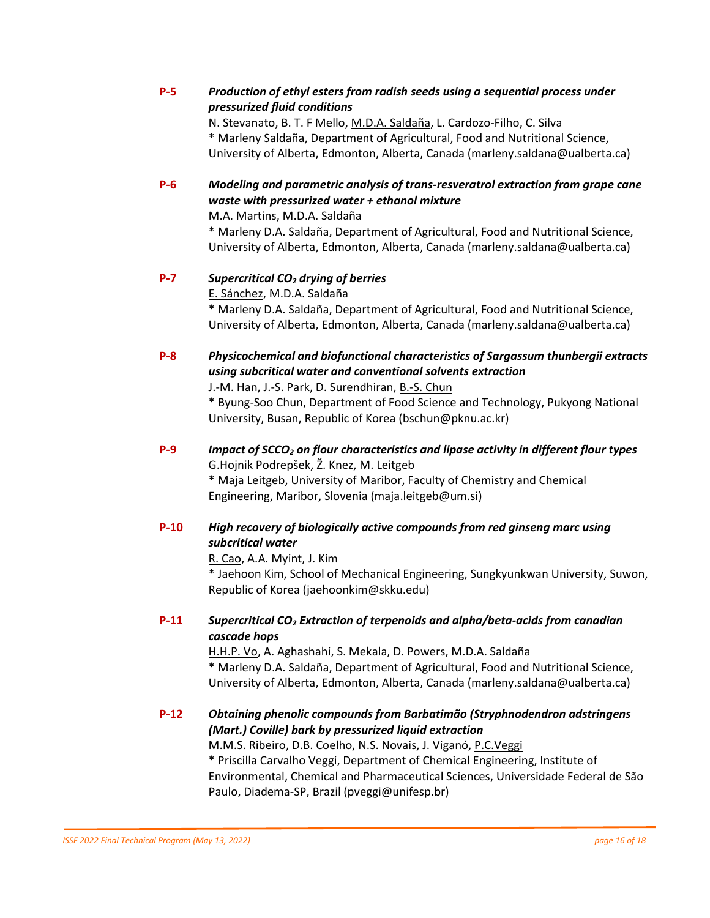#### **P-5** *Production of ethyl esters from radish seeds using a sequential process under pressurized fluid conditions*

N. Stevanato, B. T. F Mello, M.D.A. Saldaña, L. Cardozo-Filho, C. Silva \* Marleny Saldaña, Department of Agricultural, Food and Nutritional Science, University of Alberta, Edmonton, Alberta, Canada (marleny.saldana@ualberta.ca)

**P-6** *Modeling and parametric analysis of trans-resveratrol extraction from grape cane waste with pressurized water + ethanol mixture*

M.A. Martins, M.D.A. Saldaña

\* Marleny D.A. Saldaña, Department of Agricultural, Food and Nutritional Science, University of Alberta, Edmonton, Alberta, Canada (marleny.saldana@ualberta.ca)

#### **P-7** *Supercritical CO<sup>2</sup> drying of berries*

E. Sánchez, M.D.A. Saldaña

\* Marleny D.A. Saldaña, Department of Agricultural, Food and Nutritional Science, University of Alberta, Edmonton, Alberta, Canada (marleny.saldana@ualberta.ca)

### **P-8** *Physicochemical and biofunctional characteristics of Sargassum thunbergii extracts using subcritical water and conventional solvents extraction*

J.-M. Han, J.-S. Park, D. Surendhiran, B.-S. Chun

\* Byung-Soo Chun, Department of Food Science and Technology, Pukyong National University, Busan, Republic of Korea (bschun@pknu.ac.kr)

**P-9** *Impact of SCCO<sup>2</sup> on flour characteristics and lipase activity in different flour types* G.Hojnik Podrepšek, Ž. Knez, M. Leitgeb

\* Maja Leitgeb, University of Maribor, Faculty of Chemistry and Chemical Engineering, Maribor, Slovenia (maja.leitgeb@um.si)

#### **P-10** *High recovery of biologically active compounds from red ginseng marc using subcritical water*

R. Cao, A.A. Myint, J. Kim \* Jaehoon Kim, School of Mechanical Engineering, Sungkyunkwan University, Suwon, Republic of Korea (jaehoonkim@skku.edu)

### **P-11** *Supercritical CO<sup>2</sup> Extraction of terpenoids and alpha/beta-acids from canadian cascade hops*

H.H.P. Vo, A. Aghashahi, S. Mekala, D. Powers, M.D.A. Saldaña \* Marleny D.A. Saldaña, Department of Agricultural, Food and Nutritional Science, University of Alberta, Edmonton, Alberta, Canada (marleny.saldana@ualberta.ca)

### **P-12** *Obtaining phenolic compounds from Barbatimão (Stryphnodendron adstringens (Mart.) Coville) bark by pressurized liquid extraction*

M.M.S. Ribeiro, D.B. Coelho, N.S. Novais, J. Viganó, P.C.Veggi \* Priscilla Carvalho Veggi, Department of Chemical Engineering, Institute of Environmental, Chemical and Pharmaceutical Sciences, Universidade Federal de São Paulo, Diadema-SP, Brazil (pveggi@unifesp.br)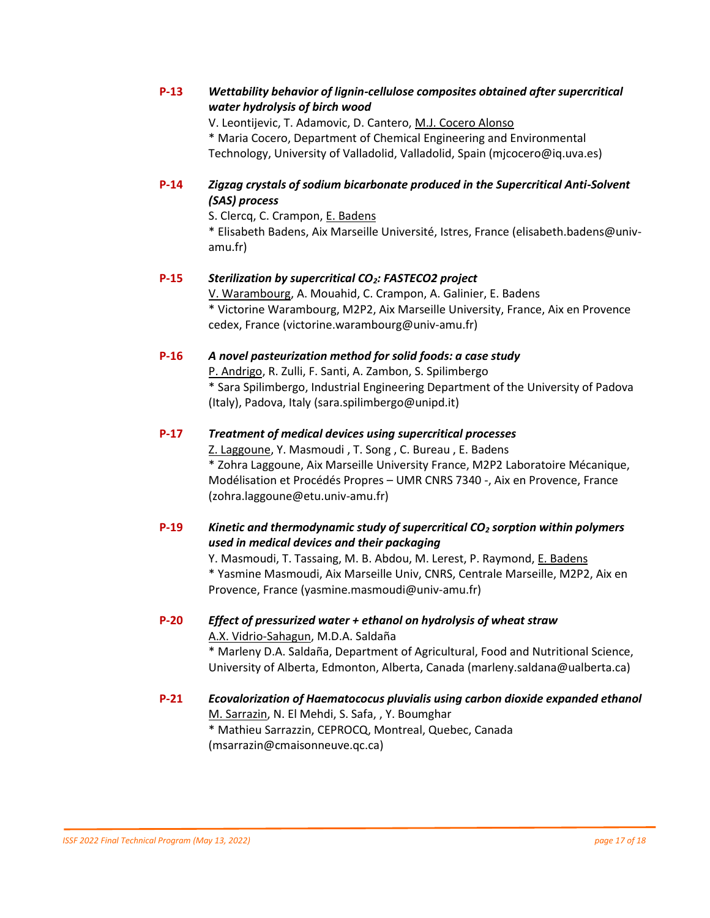#### **P-13** *Wettability behavior of lignin-cellulose composites obtained after supercritical water hydrolysis of birch wood*

V. Leontijevic, T. Adamovic, D. Cantero, M.J. Cocero Alonso

\* Maria Cocero, Department of Chemical Engineering and Environmental Technology, University of Valladolid, Valladolid, Spain (mjcocero@iq.uva.es)

#### **P-14** *Zigzag crystals of sodium bicarbonate produced in the Supercritical Anti-Solvent (SAS) process*

S. Clercq, C. Crampon, E. Badens

\* Elisabeth Badens, Aix Marseille Université, Istres, France (elisabeth.badens@univamu.fr)

#### **P-15** *Sterilization by supercritical CO2: FASTECO2 project*

V. Warambourg, A. Mouahid, C. Crampon, A. Galinier, E. Badens \* Victorine Warambourg, M2P2, Aix Marseille University, France, Aix en Provence cedex, France (victorine.warambourg@univ-amu.fr)

#### **P-16** *A novel pasteurization method for solid foods: a case study*

P. Andrigo, R. Zulli, F. Santi, A. Zambon, S. Spilimbergo \* Sara Spilimbergo, Industrial Engineering Department of the University of Padova (Italy), Padova, Italy (sara.spilimbergo@unipd.it)

### **P-17** *Treatment of medical devices using supercritical processes*

Z. Laggoune, Y. Masmoudi, T. Song, C. Bureau, E. Badens \* Zohra Laggoune, Aix Marseille University France, M2P2 Laboratoire Mécanique, Modélisation et Procédés Propres – UMR CNRS 7340 -, Aix en Provence, France (zohra.laggoune@etu.univ-amu.fr)

#### **P-19** *Kinetic and thermodynamic study of supercritical CO<sup>2</sup> sorption within polymers used in medical devices and their packaging*

Y. Masmoudi, T. Tassaing, M. B. Abdou, M. Lerest, P. Raymond, E. Badens \* Yasmine Masmoudi, Aix Marseille Univ, CNRS, Centrale Marseille, M2P2, Aix en Provence, France (yasmine.masmoudi@univ-amu.fr)

### **P-20** *Effect of pressurized water + ethanol on hydrolysis of wheat straw* A.X. Vidrio-Sahagun, M.D.A. Saldaña

\* Marleny D.A. Saldaña, Department of Agricultural, Food and Nutritional Science, University of Alberta, Edmonton, Alberta, Canada (marleny.saldana@ualberta.ca)

#### **P-21** *Ecovalorization of Haematococus pluvialis using carbon dioxide expanded ethanol* M. Sarrazin, N. El Mehdi, S. Safa, , Y. Boumghar \* Mathieu Sarrazzin, CEPROCQ, Montreal, Quebec, Canada (msarrazin@cmaisonneuve.qc.ca)